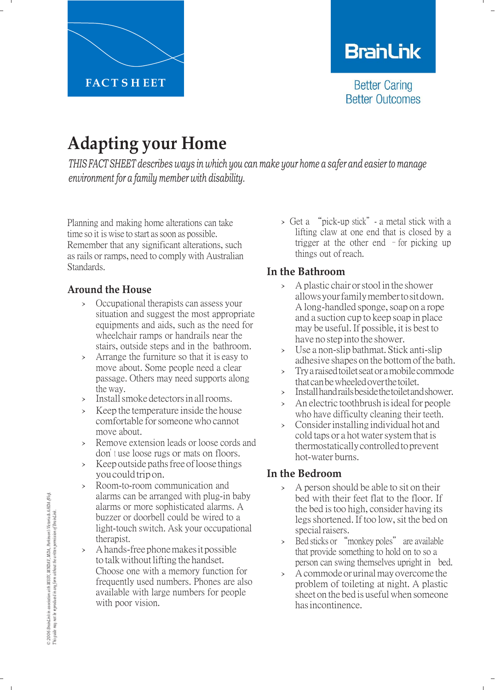

# **BranLink**

**Better Caring Better Outcomes** 

# **Adapting your Home**

*THIS FACT SHEET describes ways in which you can make your home a safer and easier to manage environment for a family member with disability.*

Planning and making home alterations can take time so it is wise to start as soon as possible. Remember that any significant alterations, such as rails or ramps, need to comply with Australian Standards.

#### **Around the House**

- › Occupational therapists can assess your situation and suggest the most appropriate equipments and aids, such as the need for wheelchair ramps or handrails near the stairs, outside steps and in the bathroom.
- › Arrange the furniture so that it is easy to move about. Some people need a clear passage. Others may need supports along the way.
- > Install smoke detectors in all rooms.
- Keep the temperature inside the house comfortable forsomeonewho cannot move about.
- Remove extension leads or loose cords and don't use loose rugs or mats on floors.
- > Keep outside paths free of loose things youcouldtripon.
- Room-to-room communication and alarms can be arranged with plug-in baby alarms or more sophisticated alarms. A buzzer or doorbell could be wired to a light-touch switch. Ask your occupational therapist.
- A hands-free phone makes it possible to talkwithout lifting the handset. Choose one with a memory function for frequently used numbers. Phones are also available with large numbers for people with poor vision.

› Get a "pick-up stick"- a metal stick with a lifting claw at one end that is closed by a trigger at the other end  $-$  for picking up things out of reach.

## **In the Bathroom**

- A plastic chair or stool in the shower allowsyourfamilymembertositdown. A long-handled sponge, soap on a rope and a suction cup to keep soap in place may be useful. If possible, it is best to have no step into the shower.
- › Use <sup>a</sup> non-slip bathmat. Stick anti-slip adhesive shapes on the bottomofthe bath.
- › Trya raisedtoiletseatoramobilecommode that can be wheeled over the toilet.
- › Installhandrailsbesidethetoiletandshower.
- An electric toothbrush is ideal for people who have difficulty cleaning their teeth.
- › Considerinstalling individual hot and cold taps or a hot water system that is thermostaticallycontrolledtoprevent hot-water burns.

#### **In the Bedroom**

- › <sup>A</sup> person should be able to sit on their bed with their feet flat to the floor. If the bed is too high, consider having its legs shortened. If too low, sit the bed on special raisers.
- › Bed sticks or "monkey poles" are available that provide something to hold on to so a person can swing themselves upright in bed.
- A commode or urinal may overcome the problem of toileting at night. A plastic sheet on the bed is useful when someone hasincontinence.